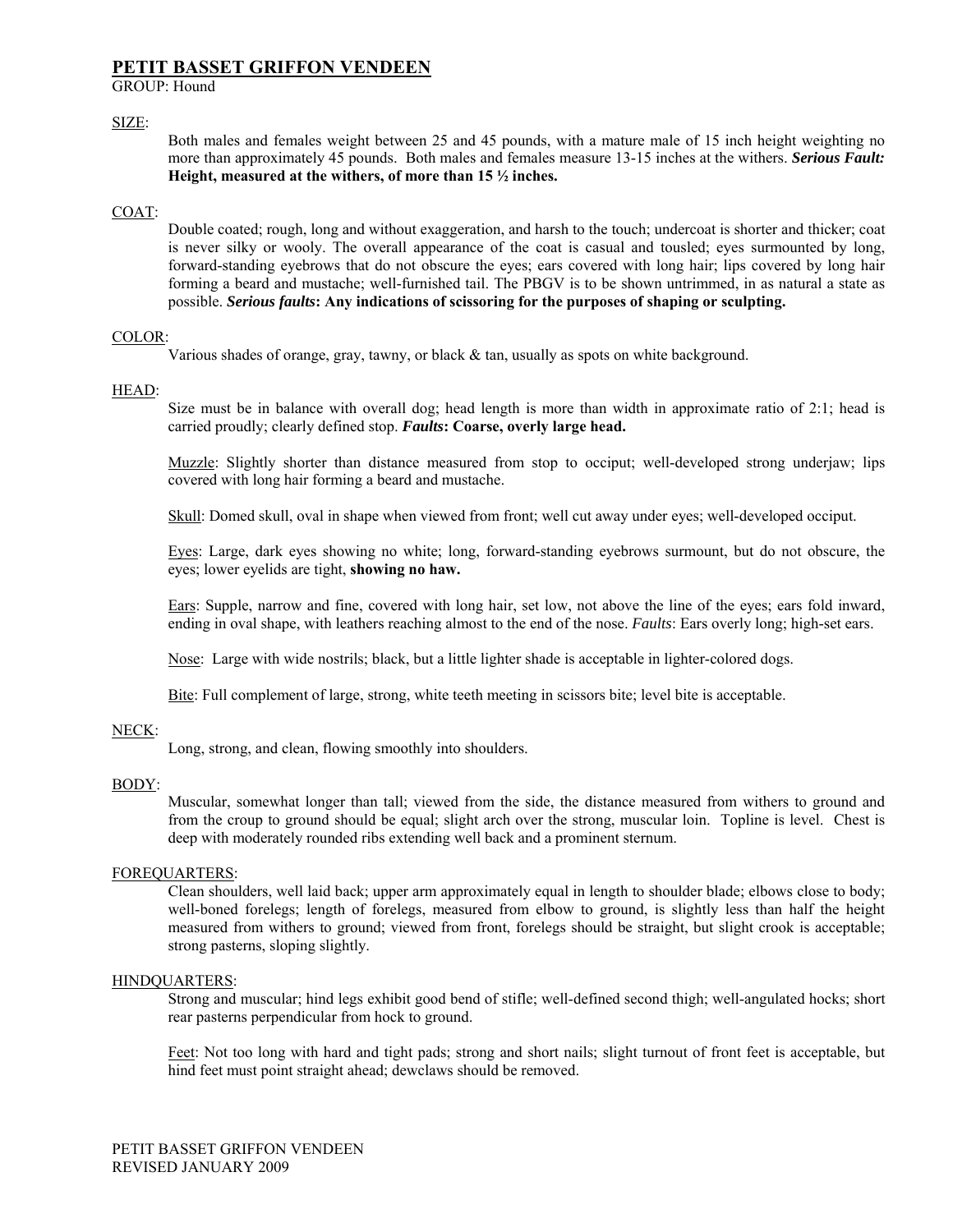# **PETIT BASSET GRIFFON VENDEEN**

GROUP: Hound

## SIZE:

Both males and females weight between 25 and 45 pounds, with a mature male of 15 inch height weighting no more than approximately 45 pounds. Both males and females measure 13-15 inches at the withers. *Serious Fault:*  **Height, measured at the withers, of more than 15 ½ inches.** 

## COAT:

Double coated; rough, long and without exaggeration, and harsh to the touch; undercoat is shorter and thicker; coat is never silky or wooly. The overall appearance of the coat is casual and tousled; eyes surmounted by long, forward-standing eyebrows that do not obscure the eyes; ears covered with long hair; lips covered by long hair forming a beard and mustache; well-furnished tail. The PBGV is to be shown untrimmed, in as natural a state as possible. *Serious faults***: Any indications of scissoring for the purposes of shaping or sculpting.** 

## COLOR:

Various shades of orange, gray, tawny, or black & tan, usually as spots on white background.

## HEAD:

Size must be in balance with overall dog; head length is more than width in approximate ratio of 2:1; head is carried proudly; clearly defined stop. *Faults***: Coarse, overly large head.** 

Muzzle: Slightly shorter than distance measured from stop to occiput; well-developed strong underjaw; lips covered with long hair forming a beard and mustache.

Skull: Domed skull, oval in shape when viewed from front; well cut away under eyes; well-developed occiput.

Eyes: Large, dark eyes showing no white; long, forward-standing eyebrows surmount, but do not obscure, the eyes; lower eyelids are tight, **showing no haw.** 

Ears: Supple, narrow and fine, covered with long hair, set low, not above the line of the eyes; ears fold inward, ending in oval shape, with leathers reaching almost to the end of the nose. *Faults*: Ears overly long; high-set ears.

Nose: Large with wide nostrils; black, but a little lighter shade is acceptable in lighter-colored dogs.

Bite: Full complement of large, strong, white teeth meeting in scissors bite; level bite is acceptable.

### NECK:

Long, strong, and clean, flowing smoothly into shoulders.

### BODY:

Muscular, somewhat longer than tall; viewed from the side, the distance measured from withers to ground and from the croup to ground should be equal; slight arch over the strong, muscular loin. Topline is level. Chest is deep with moderately rounded ribs extending well back and a prominent sternum.

## FOREQUARTERS:

Clean shoulders, well laid back; upper arm approximately equal in length to shoulder blade; elbows close to body; well-boned forelegs; length of forelegs, measured from elbow to ground, is slightly less than half the height measured from withers to ground; viewed from front, forelegs should be straight, but slight crook is acceptable; strong pasterns, sloping slightly.

### HINDQUARTERS:

Strong and muscular; hind legs exhibit good bend of stifle; well-defined second thigh; well-angulated hocks; short rear pasterns perpendicular from hock to ground.

Feet: Not too long with hard and tight pads; strong and short nails; slight turnout of front feet is acceptable, but hind feet must point straight ahead; dewclaws should be removed.